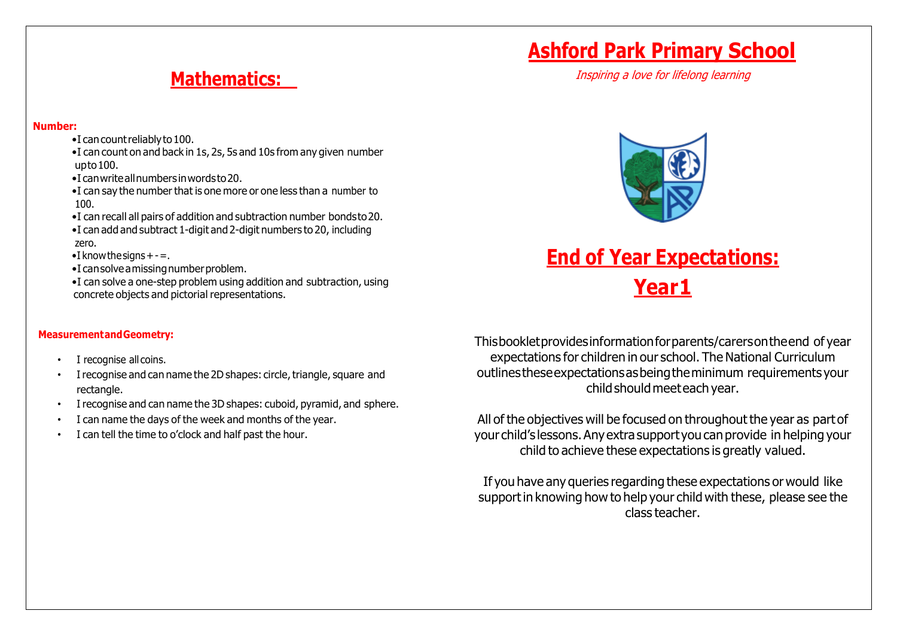## **Mathematics:**

#### **Number:**

- •I cancountreliablyto100.
- •I can count on and back in 1s, 2s, 5s and 10s from any given number upto100.
- •I canwriteallnumbers inwordsto20.
- •I can say the number that is one more or one less than a number to 100.
- •I can recall all pairs of addition and subtraction number bondsto20.
- •I can add and subtract 1-digit and 2-digit numbers to 20, including zero.

 $\bullet$  I know the signs  $+ - =$ .

- $\bullet$ I can solve a missing number problem.
- •I can solve a one-step problem using addition and subtraction, using concrete objects and pictorial representations.

### **MeasurementandGeometry:**

- I recognise all coins.
- I recognise and can name the 2D shapes: circle, triangle, square and rectangle.
- I recognise and can name the 3D shapes: cuboid, pyramid, and sphere.
- I can name the days of the week and months of the year.
- I can tell the time to o'clock and half past the hour.

Thisbookletprovidesinformationforparents/carersontheend of year expectations for children in our school. The National Curriculum outlinestheseexpectationsasbeingtheminimum requirements your childshouldmeeteach year.

All of the objectives will be focused on throughout the year as part of your child's lessons.Anyextrasupport you can provide in helping your child to achieve these expectations is greatly valued.

If you have any queries regarding these expectations or would like supportin knowing how to help your child with these, please see the class teacher.



**End of Year Expectations:**

**Year1**

## **Ashford Park Primary School**

Inspiring a love for lifelong learning